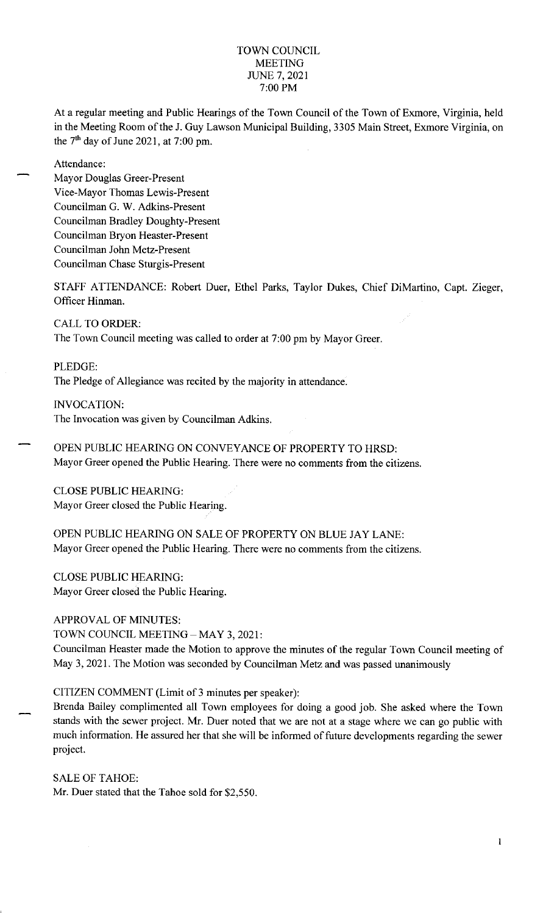#### TOWN COUNCIL MEETING JUNE 7, 2021 7:00 PM

At a regular meeting and Public Hearings of the Town Council of the Town of Exmore, Virginia, held in the Meeting Room of the J. Guy Lawson Municipal Building, 3305 Main Street, Exmore Virginia, on the  $7<sup>th</sup>$  day of June 2021, at 7:00 pm.

Attendance:

Mayor Douglas Greer-Present Vice-Mayor Thomas Lewis-Present Councilman G. W. Adkins-Present Councilman Bradley Doughty-Present Councilman Bryon Heaster-Present Councilman John Metz-Present Councilman Chase Sturgis-Present

STAFF ATTENDANCE: Robert Duer, Ethel Parks, Taylor Dukes, Chief DiMartino, Capt. Zieger, Officer Hinman.

CALL TO ORDER: The Town Council meeting was called to order at 7:00 pm by Mayor Greer.

PLEDGE: The Pledge of Allegiance was recited by the majority in attendance.

INVOCATION: The Invocation was given by Councilman Adkins.

OPEN PUBLIC HEARING ON CONVEYANCE OF PROPERTY TO HRSD: Mayor Greer opened the Public Hearing. There were no comments from the citizens.

CLOSE PUBLIC HEARING: Mayor Greer closed the Public Hearing.

OPEN PUBLIC HEARING ON SALE OF PROPERTY ON BLUE JAY LANE: Mayor Greer opened the Public Hearing. There were no comments from the citizens.

CLOSE PUBLIC HEARING: Mayor Greer closed the Public Hearing.

APPROVAL OF MINUTES:

TOWN COUNCIL MEETING - MAY 3, 2021:

Councilman Heaster made the Motion to approve the minutes of the regular Town Council meeting of May 3, 2021. The Motion was seconded by Councilman Metz and was passed unanimously

CITIZEN COMMENT (Limit of 3 minutes per speaker):

Brenda Bailey complimented all Town employees for doing a good job. She asked where the Town stands with the sewer project. Mr. Duer noted that we are not at a stage where we can go public with much information. He assured her that she will be informed of future developments regarding the sewer project.

SALE OF TAHOE: Mr. Duer stated that the Tahoe sold for \$2,550.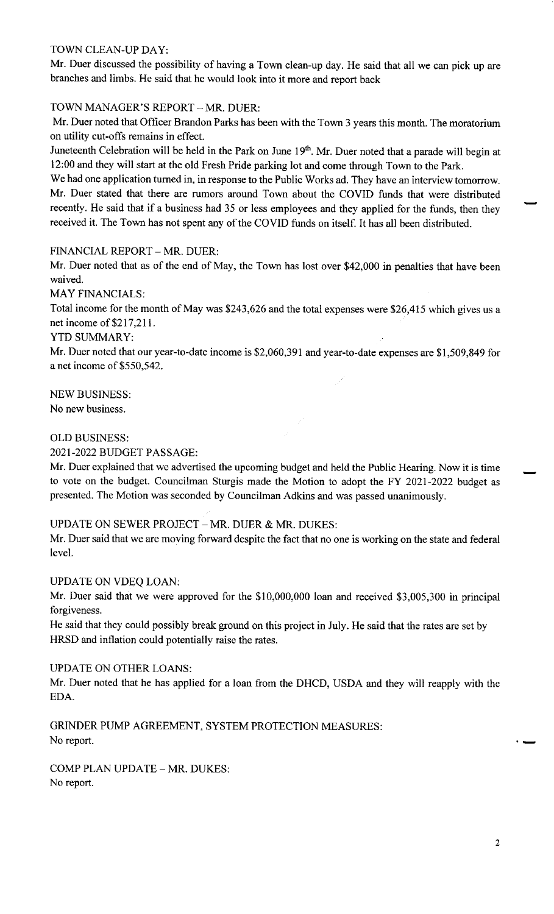### TOWN CLEAN-UP DAY:

Mr. Duer discussed the possibility of having a Town clean-up day. He said that all we can pick up are branches and limbs. He said that he would look into it more and report back

## TOWN MANAGER'S REPORT - MR. DUER:

Mr. Duer noted that Officer Brandon Parks has been with the Town 3 years this month. The moratorium on utility cut-offs remains in effect.

Juneteenth Celebration will be held in the Park on June 19<sup>th</sup>. Mr. Duer noted that a parade will begin at 12:00 and they will start at the old Fresh Pride parking lot and come through Town to the Park.

We had one application turned in, in response to the Public Works ad. They have an interview tomorrow. Mr. Duer stated that there are rumors around Town about the COVID funds that were distributed recently. He said that if a business had 35 or less employees and they applied for the funds, then they received it. The Town has not spent any of the COVID funds on itself. It has all been distributed.

### FINANCIAL REPORT - MR. DUER:

Mr. Duer noted that as of the end of May, the Town has lost over \$42,000 in penalties that have been waived.

MAY FINANCIALS:

Total income for the month of May was \$243,626 and the total expenses were \$26,415 which gives us <sup>a</sup> net income of \$217,211.

#### YTD SUMMARY:

Mr. Duer noted that our year-to-date income is \$2,060,391 and year-to-date expenses are \$1,509,849 for a net income of \$550,542.

NEW BUSINESS:

No new business.

#### OLD BUSINESS:

2021-2022 BUDGET PASSAGE:

Mr. Duer explained that we advertised the upcoming budget and held the Public Hearing. Now it is time to vote on the budget. Councilman Sturgis made the Motion to adopt the FY 2021-2022 budget as presented. The Motion was seconded by Councilman Adkins and was passed unanimously.

## UPDATE ON SEWER PROJECT - MR. DUER & MR. DUKES:

Mr. Duer said that we are moving forward despite the fact that no one is working on the state and federal level.

#### UPDATE ON VDEQ LOAN:

Mr. Duer said that we were approved for the \$10,000,000 loan and received \$3,005,300 in principal forgiveness.

He said that they could possibly break ground on this project in July. He said that the rates are set by HRSD and inflation could potentially raise the rates.

#### UPDATE ON OTHER LOANS:

Mr. Duer noted that he has applied for a loan from the DHCD, USDA and they will reapply with the EDA.

GRINDER PUMP AGREEMENT, SYSTEM PROTECTION MEASURES: No report. -

COMP PLAN UPDATE - MR. DUKES: No report.